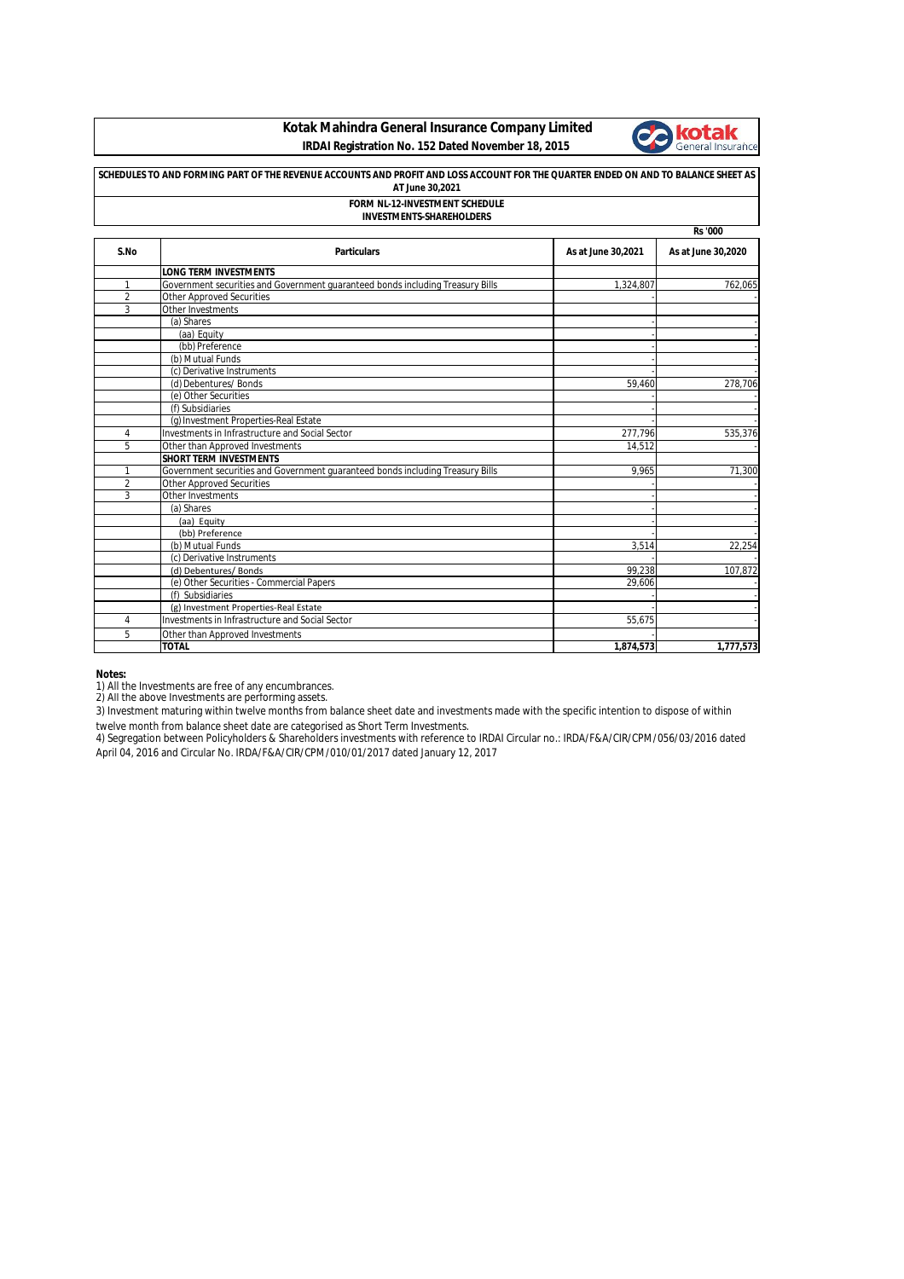## **Kotak Mahindra General Insurance Company Limited IRDAI Registration No. 152 Dated November 18, 2015**



| SCHEDULES TO AND FORMING PART OF THE REVENUE ACCOUNTS AND PROFIT AND LOSS ACCOUNT FOR THE QUARTER ENDED ON AND TO BALANCE SHEET AS<br>AT June 30,2021 |                                                                                |                    |                    |  |
|-------------------------------------------------------------------------------------------------------------------------------------------------------|--------------------------------------------------------------------------------|--------------------|--------------------|--|
|                                                                                                                                                       | <b>FORM NL-12-INVESTMENT SCHEDULE</b>                                          |                    |                    |  |
| <b>INVESTMENTS-SHAREHOLDERS</b>                                                                                                                       |                                                                                |                    |                    |  |
|                                                                                                                                                       |                                                                                |                    | <b>Rs</b> '000     |  |
| S.No                                                                                                                                                  | <b>Particulars</b>                                                             | As at June 30,2021 | As at June 30,2020 |  |
|                                                                                                                                                       | <b>LONG TERM INVESTMENTS</b>                                                   |                    |                    |  |
| 1                                                                                                                                                     | Government securities and Government guaranteed bonds including Treasury Bills | 1,324,807          | 762,065            |  |
| $\overline{2}$                                                                                                                                        | <b>Other Approved Securities</b>                                               |                    |                    |  |
| 3                                                                                                                                                     | Other Investments                                                              |                    |                    |  |
|                                                                                                                                                       | (a) Shares                                                                     |                    |                    |  |
|                                                                                                                                                       | (aa) Equity                                                                    |                    |                    |  |
|                                                                                                                                                       | (bb) Preference                                                                |                    |                    |  |
|                                                                                                                                                       | (b) Mutual Funds                                                               |                    |                    |  |
|                                                                                                                                                       | (c) Derivative Instruments                                                     |                    |                    |  |
|                                                                                                                                                       | (d) Debentures/ Bonds                                                          | 59,460             | 278,706            |  |
|                                                                                                                                                       | (e) Other Securities                                                           |                    |                    |  |
|                                                                                                                                                       | (f) Subsidiaries                                                               |                    |                    |  |
|                                                                                                                                                       | (g) Investment Properties-Real Estate                                          |                    |                    |  |
| 4                                                                                                                                                     | Investments in Infrastructure and Social Sector                                | 277,796            | 535,376            |  |
| 5                                                                                                                                                     | Other than Approved Investments                                                | 14.512             |                    |  |
|                                                                                                                                                       | <b>SHORT TERM INVESTMENTS</b>                                                  |                    |                    |  |
| $\mathbf{1}$                                                                                                                                          | Government securities and Government quaranteed bonds including Treasury Bills | 9.965              | 71,300             |  |
| $\overline{2}$                                                                                                                                        | <b>Other Approved Securities</b>                                               |                    |                    |  |
| 3                                                                                                                                                     | Other Investments                                                              |                    |                    |  |
|                                                                                                                                                       | (a) Shares                                                                     |                    |                    |  |
|                                                                                                                                                       | (aa) Equity                                                                    |                    |                    |  |
|                                                                                                                                                       | (bb) Preference                                                                |                    |                    |  |
|                                                                                                                                                       | (b) Mutual Funds                                                               | 3.514              | 22,254             |  |
|                                                                                                                                                       | (c) Derivative Instruments                                                     |                    |                    |  |
|                                                                                                                                                       | (d) Debentures/ Bonds                                                          | 99,238             | 107,872            |  |
|                                                                                                                                                       | (e) Other Securities - Commercial Papers                                       | 29.606             |                    |  |
|                                                                                                                                                       | (f) Subsidiaries                                                               |                    |                    |  |
|                                                                                                                                                       | (g) Investment Properties-Real Estate                                          |                    |                    |  |
| 4                                                                                                                                                     | Investments in Infrastructure and Social Sector                                | 55.675             |                    |  |
| 5                                                                                                                                                     | Other than Approved Investments                                                |                    |                    |  |
|                                                                                                                                                       | <b>TOTAL</b>                                                                   | 1,874,573          | 1,777,573          |  |

**Notes:**

1) All the Investments are free of any encumbrances. 2) All the above Investments are performing assets.

3) Investment maturing within twelve months from balance sheet date and investments made with the specific intention to dispose of within twelve month from balance sheet date are categorised as Short Term Investments.

4) Segregation between Policyholders & Shareholders investments with reference to IRDAI Circular no.: IRDA/F&A/CIR/CPM/056/03/2016 dated April 04, 2016 and Circular No. IRDA/F&A/CIR/CPM/010/01/2017 dated January 12, 2017